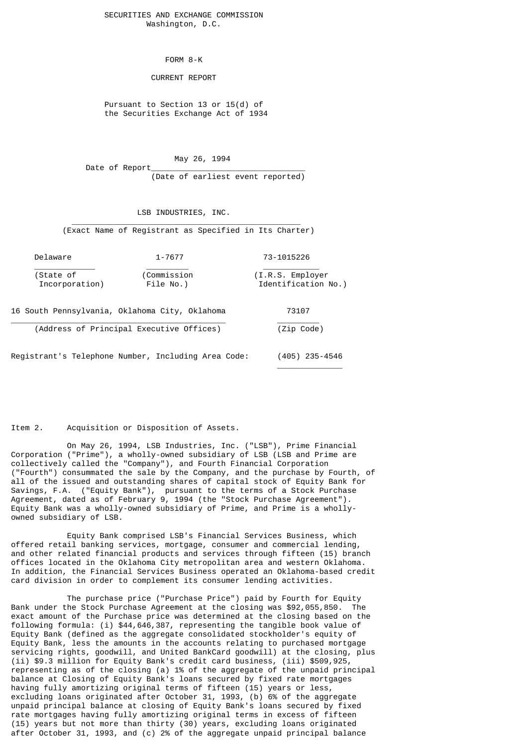### SECURITIES AND EXCHANGE COMMISSION Washington, D.C.

FORM 8-K

#### CURRENT REPORT

 Pursuant to Section 13 or 15(d) of the Securities Exchange Act of 1934

 May 26, 1994 Date of Report

(Date of earliest event reported)

LSB INDUSTRIES, INC.

 $\frac{1}{\sqrt{2}}$  ,  $\frac{1}{\sqrt{2}}$  ,  $\frac{1}{\sqrt{2}}$  ,  $\frac{1}{\sqrt{2}}$  ,  $\frac{1}{\sqrt{2}}$  ,  $\frac{1}{\sqrt{2}}$  ,  $\frac{1}{\sqrt{2}}$  ,  $\frac{1}{\sqrt{2}}$  ,  $\frac{1}{\sqrt{2}}$  ,  $\frac{1}{\sqrt{2}}$  ,  $\frac{1}{\sqrt{2}}$  ,  $\frac{1}{\sqrt{2}}$  ,  $\frac{1}{\sqrt{2}}$  ,  $\frac{1}{\sqrt{2}}$  ,  $\frac{1}{\sqrt{2}}$ 

(Exact Name of Registrant as Specified in Its Charter)

| Delaware       | 1-7677      | 73-1015226          |
|----------------|-------------|---------------------|
| (State of      | (Commission | (I.R.S. Employer)   |
| Incorporation) | File No.)   | Identification No.) |

16 South Pennsylvania, Oklahoma City, Oklahoma 73107

\_\_\_\_\_\_\_\_\_\_\_\_\_\_\_\_\_\_\_\_\_\_\_\_\_\_\_\_\_\_\_\_\_\_\_\_\_\_\_\_\_\_\_\_\_\_ \_\_\_\_\_\_\_\_\_ (Address of Principal Executive Offices) (Zip Code)

\_\_\_\_\_\_\_\_\_\_\_\_\_\_

Registrant's Telephone Number, Including Area Code: (405) 235-4546

Item 2. Acquisition or Disposition of Assets.

 On May 26, 1994, LSB Industries, Inc. ("LSB"), Prime Financial Corporation ("Prime"), a wholly-owned subsidiary of LSB (LSB and Prime are collectively called the "Company"), and Fourth Financial Corporation ("Fourth") consummated the sale by the Company, and the purchase by Fourth, of all of the issued and outstanding shares of capital stock of Equity Bank for Savings, F.A. ("Equity Bank"), pursuant to the terms of a Stock Purchase Agreement, dated as of February 9, 1994 (the "Stock Purchase Agreement"). Equity Bank was a wholly-owned subsidiary of Prime, and Prime is a whollyowned subsidiary of LSB.

 Equity Bank comprised LSB's Financial Services Business, which offered retail banking services, mortgage, consumer and commercial lending, and other related financial products and services through fifteen (15) branch offices located in the Oklahoma City metropolitan area and western Oklahoma. In addition, the Financial Services Business operated an Oklahoma-based credit card division in order to complement its consumer lending activities.

 The purchase price ("Purchase Price") paid by Fourth for Equity Bank under the Stock Purchase Agreement at the closing was \$92,055,850. The exact amount of the Purchase price was determined at the closing based on the following formula: (i) \$44,646,387, representing the tangible book value of Equity Bank (defined as the aggregate consolidated stockholder's equity of Equity Bank, less the amounts in the accounts relating to purchased mortgage servicing rights, goodwill, and United BankCard goodwill) at the closing, plus (ii) \$9.3 million for Equity Bank's credit card business, (iii) \$509,925, representing as of the closing (a) 1% of the aggregate of the unpaid principal balance at Closing of Equity Bank's loans secured by fixed rate mortgages having fully amortizing original terms of fifteen (15) years or less, excluding loans originated after October 31, 1993, (b) 6% of the aggregate unpaid principal balance at closing of Equity Bank's loans secured by fixed rate mortgages having fully amortizing original terms in excess of fifteen (15) years but not more than thirty (30) years, excluding loans originated after October 31, 1993, and (c) 2% of the aggregate unpaid principal balance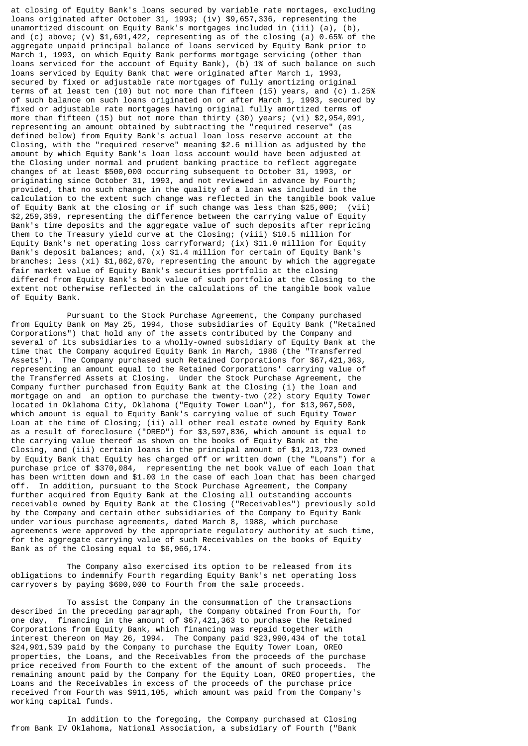at closing of Equity Bank's loans secured by variable rate mortages, excluding loans originated after October 31, 1993; (iv) \$9,657,336, representing the unamortized discount on Equity Bank's mortgages included in (iii) (a), (b), and (c) above; (v)  $$1,691,422$ , representing as of the closing (a) 0.65% of the aggregate unpaid principal balance of loans serviced by Equity Bank prior to March 1, 1993, on which Equity Bank performs mortgage servicing (other than loans serviced for the account of Equity Bank), (b) 1% of such balance on such loans serviced by Equity Bank that were originated after March 1, 1993, secured by fixed or adjustable rate mortgages of fully amortizing original terms of at least ten (10) but not more than fifteen (15) years, and (c) 1.25% of such balance on such loans originated on or after March 1, 1993, secured by fixed or adjustable rate mortgages having original fully amortized terms of more than fifteen (15) but not more than thirty (30) years; (vi) \$2,954,091, representing an amount obtained by subtracting the "required reserve" (as defined below) from Equity Bank's actual loan loss reserve account at the Closing, with the "required reserve" meaning \$2.6 million as adjusted by the amount by which Equity Bank's loan loss account would have been adjusted at the Closing under normal and prudent banking practice to reflect aggregate changes of at least \$500,000 occurring subsequent to October 31, 1993, or originating since October 31, 1993, and not reviewed in advance by Fourth; provided, that no such change in the quality of a loan was included in the calculation to the extent such change was reflected in the tangible book value of Equity Bank at the closing or if such change was less than \$25,000; (vii) \$2,259,359, representing the difference between the carrying value of Equity Bank's time deposits and the aggregate value of such deposits after repricing them to the Treasury yield curve at the Closing; (viii) \$10.5 million for Equity Bank's net operating loss carryforward; (ix) \$11.0 million for Equity Bank's deposit balances; and, (x) \$1.4 million for certain of Equity Bank's branches; less (xi) \$1,862,670, representing the amount by which the aggregate fair market value of Equity Bank's securities portfolio at the closing differed from Equity Bank's book value of such portfolio at the Closing to the extent not otherwise reflected in the calculations of the tangible book value of Equity Bank.

 Pursuant to the Stock Purchase Agreement, the Company purchased from Equity Bank on May 25, 1994, those subsidiaries of Equity Bank ("Retained Corporations") that hold any of the assets contributed by the Company and several of its subsidiaries to a wholly-owned subsidiary of Equity Bank at the time that the Company acquired Equity Bank in March, 1988 (the "Transferred Assets"). The Company purchased such Retained Corporations for \$67,421,363, representing an amount equal to the Retained Corporations' carrying value of the Transferred Assets at Closing. Under the Stock Purchase Agreement, the Company further purchased from Equity Bank at the Closing (i) the loan and mortgage on and an option to purchase the twenty-two (22) story Equity Tower located in Oklahoma City, Oklahoma ("Equity Tower Loan"), for \$13,967,500, which amount is equal to Equity Bank's carrying value of such Equity Tower Loan at the time of Closing; (ii) all other real estate owned by Equity Bank as a result of foreclosure ("OREO") for \$3,597,836, which amount is equal to the carrying value thereof as shown on the books of Equity Bank at the Closing, and (iii) certain loans in the principal amount of \$1,213,723 owned by Equity Bank that Equity has charged off or written down (the "Loans") for a purchase price of \$370,084, representing the net book value of each loan that has been written down and \$1.00 in the case of each loan that has been charged off. In addition, pursuant to the Stock Purchase Agreement, the Company further acquired from Equity Bank at the Closing all outstanding accounts receivable owned by Equity Bank at the Closing ("Receivables") previously sold by the Company and certain other subsidiaries of the Company to Equity Bank under various purchase agreements, dated March 8, 1988, which purchase agreements were approved by the appropriate regulatory authority at such time, for the aggregate carrying value of such Receivables on the books of Equity Bank as of the Closing equal to \$6,966,174.

 The Company also exercised its option to be released from its obligations to indemnify Fourth regarding Equity Bank's net operating loss carryovers by paying \$600,000 to Fourth from the sale proceeds.

 To assist the Company in the consummation of the transactions described in the preceding paragraph, the Company obtained from Fourth, for one day, financing in the amount of \$67,421,363 to purchase the Retained Corporations from Equity Bank, which financing was repaid together with interest thereon on May 26, 1994. The Company paid \$23,990,434 of the total \$24,901,539 paid by the Company to purchase the Equity Tower Loan, OREO properties, the Loans, and the Receivables from the proceeds of the purchase price received from Fourth to the extent of the amount of such proceeds. The price received from Fourth to the extent of the amount of such proceeds. remaining amount paid by the Company for the Equity Loan, OREO properties, the Loans and the Receivables in excess of the proceeds of the purchase price received from Fourth was \$911,105, which amount was paid from the Company's working capital funds.

 In addition to the foregoing, the Company purchased at Closing from Bank IV Oklahoma, National Association, a subsidiary of Fourth ("Bank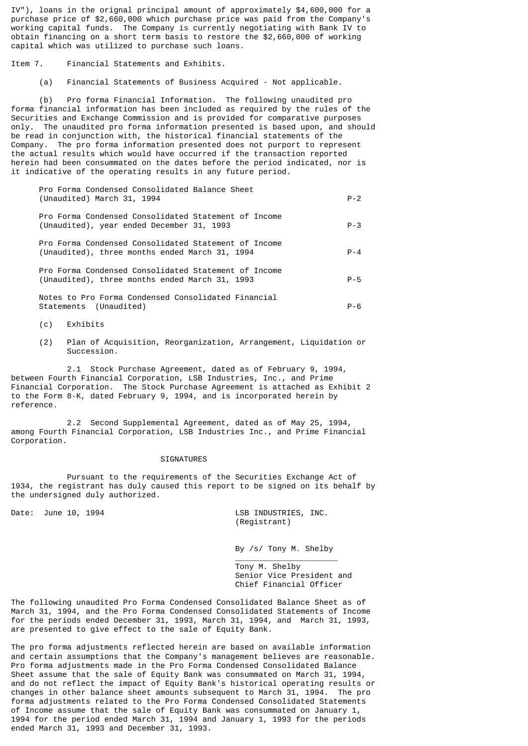IV"), loans in the orignal principal amount of approximately \$4,600,000 for a purchase price of \$2,660,000 which purchase price was paid from the Company's working capital funds. The Company is currently negotiating with Bank IV to obtain financing on a short term basis to restore the \$2,660,000 of working capital which was utilized to purchase such loans.

Item 7. Financial Statements and Exhibits.

(a) Financial Statements of Business Acquired - Not applicable.

 (b) Pro forma Financial Information. The following unaudited pro forma financial information has been included as required by the rules of the Securities and Exchange Commission and is provided for comparative purposes only. The unaudited pro forma information presented is based upon, and should be read in conjunction with, the historical financial statements of the Company. The pro forma information presented does not purport to represent the actual results which would have occurred if the transaction reported herein had been consummated on the dates before the period indicated, nor is it indicative of the operating results in any future period.

 Pro Forma Condensed Consolidated Balance Sheet (Unaudited) March 31, 1994 P-2 Pro Forma Condensed Consolidated Statement of Income

 Pro Forma Condensed Consolidated Statement of Income (Unaudited), three months ended March 31, 1994 P-4

(Unaudited), year ended December 31, 1993 P-3

 Pro Forma Condensed Consolidated Statement of Income (Unaudited), three months ended March 31, 1993 P-5

 Notes to Pro Forma Condensed Consolidated Financial Statements (Unaudited) P-6

- (c) Exhibits
- (2) Plan of Acquisition, Reorganization, Arrangement, Liquidation or Succession.

 2.1 Stock Purchase Agreement, dated as of February 9, 1994, between Fourth Financial Corporation, LSB Industries, Inc., and Prime Financial Corporation. The Stock Purchase Agreement is attached as Exhibit 2 to the Form 8-K, dated February 9, 1994, and is incorporated herein by reference.

 2.2 Second Supplemental Agreement, dated as of May 25, 1994, among Fourth Financial Corporation, LSB Industries Inc., and Prime Financial Corporation.

SIGNATURES

\_\_\_\_\_\_\_\_\_\_\_\_\_\_\_\_\_\_\_\_\_\_

 Pursuant to the requirements of the Securities Exchange Act of 1934, the registrant has duly caused this report to be signed on its behalf by the undersigned duly authorized.

Date: June 10, 1994 **LSB INDUSTRIES**, INC. (Registrant)

By /s/ Tony M. Shelby

 Tony M. Shelby Senior Vice President and Chief Financial Officer

The following unaudited Pro Forma Condensed Consolidated Balance Sheet as of March 31, 1994, and the Pro Forma Condensed Consolidated Statements of Income for the periods ended December 31, 1993, March 31, 1994, and March 31, 1993, are presented to give effect to the sale of Equity Bank.

The pro forma adjustments reflected herein are based on available information and certain assumptions that the Company's management believes are reasonable. Pro forma adjustments made in the Pro Forma Condensed Consolidated Balance Sheet assume that the sale of Equity Bank was consummated on March 31, 1994, and do not reflect the impact of Equity Bank's historical operating results or changes in other balance sheet amounts subsequent to March 31, 1994. The pro forma adjustments related to the Pro Forma Condensed Consolidated Statements of Income assume that the sale of Equity Bank was consummated on January 1, 1994 for the period ended March 31, 1994 and January 1, 1993 for the periods ended March 31, 1993 and December 31, 1993.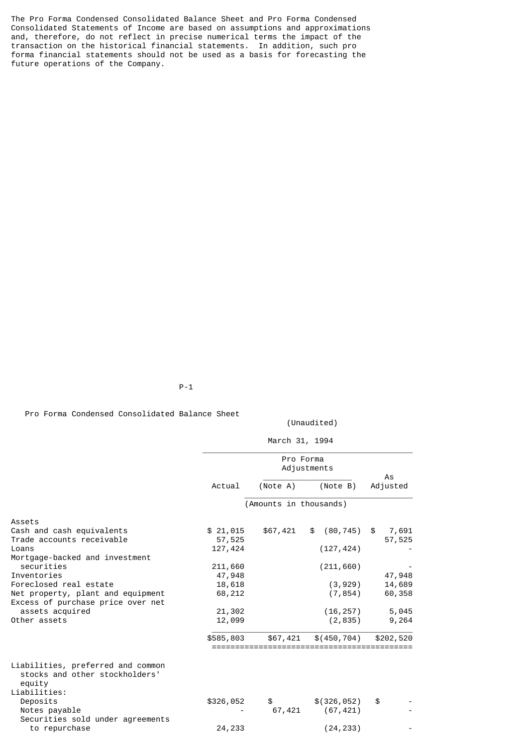The Pro Forma Condensed Consolidated Balance Sheet and Pro Forma Condensed Consolidated Statements of Income are based on assumptions and approximations and, therefore, do not reflect in precise numerical terms the impact of the transaction on the historical financial statements. In addition, such pro forma financial statements should not be used as a basis for forecasting the future operations of the Company.

P-1

Pro Forma Condensed Consolidated Balance Sheet

(Unaudited)

March 31, 1994

|                                                                                               |                     | Pro Forma              | Adjustments          |                 |
|-----------------------------------------------------------------------------------------------|---------------------|------------------------|----------------------|-----------------|
|                                                                                               | Actual              | (Note A)               | (Note B)             | As<br>Adjusted  |
|                                                                                               |                     | (Amounts in thousands) |                      |                 |
| Assets                                                                                        |                     |                        |                      |                 |
| Cash and cash equivalents<br>Trade accounts receivable                                        | \$ 21,015<br>57,525 | \$67,421               | $(80, 745)$ \$<br>\$ | 7,691<br>57,525 |
| Loans<br>Mortgage-backed and investment                                                       | 127,424             |                        | (127, 424)           |                 |
| securities                                                                                    | 211,660             |                        | (211, 660)           |                 |
| Inventories                                                                                   | 47,948              |                        |                      | 47,948          |
| Foreclosed real estate                                                                        | 18,618              |                        | (3, 929)             | 14,689          |
| Net property, plant and equipment<br>Excess of purchase price over net                        | 68,212              |                        | (7, 854)             | 60,358          |
| assets acquired                                                                               | 21,302              |                        | (16, 257)            | 5,045           |
| Other assets                                                                                  | 12,099              |                        | (2, 835)             | 9,264           |
|                                                                                               | \$585,803           | \$67,421               | \$(450, 704)         | \$202,520       |
| Liabilities, preferred and common<br>stocks and other stockholders'<br>equity<br>Liabilities: |                     |                        |                      |                 |
| Deposits                                                                                      | \$326,052           | \$                     | \$(326,052)          | \$              |
| Notes payable<br>Securities sold under agreements                                             |                     | 67,421                 | (67, 421)            |                 |
| to repurchase                                                                                 | 24,233              |                        | (24, 233)            |                 |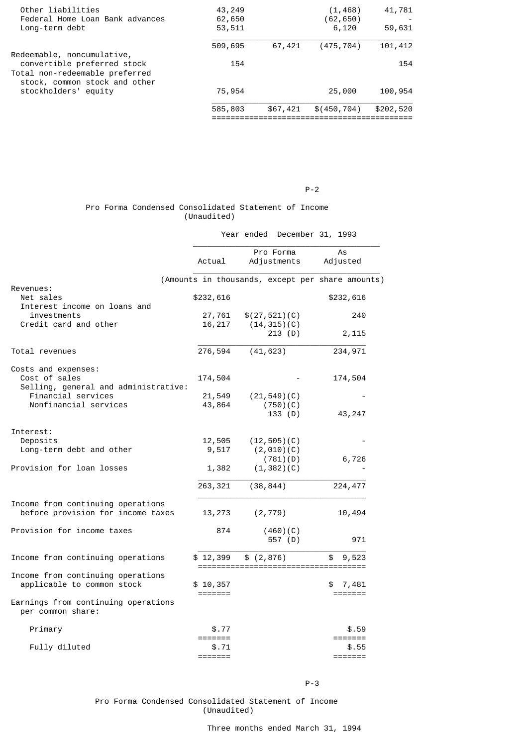| Other liabilities<br>Federal Home Loan Bank advances<br>Long-term debt                      | 43,249<br>62,650<br>53,511 |          | (1,468)<br>(62,650)<br>6,120 | 41,781<br>59,631 |
|---------------------------------------------------------------------------------------------|----------------------------|----------|------------------------------|------------------|
|                                                                                             | 509,695                    | 67,421   | (475, 704)                   | 101,412          |
| Redeemable, noncumulative,<br>convertible preferred stock<br>Total non-redeemable preferred | 154                        |          |                              | 154              |
| stock, common stock and other<br>stockholders' equity                                       | 75,954                     |          | 25,000                       | 100,954          |
|                                                                                             | 585,803                    | \$67,421 | \$(450, 704)                 | \$202,520        |
|                                                                                             |                            |          |                              |                  |

#### P-2

# Pro Forma Condensed Consolidated Statement of Income (Unaudited)

| Year ended December 31, 1993 |  |  |  |  |
|------------------------------|--|--|--|--|
|------------------------------|--|--|--|--|

|                                                                        | Actual              | Pro Forma<br>Adjustments                         | As<br>Adjusted   |
|------------------------------------------------------------------------|---------------------|--------------------------------------------------|------------------|
|                                                                        |                     | (Amounts in thousands, except per share amounts) |                  |
| Revenues:<br>Net sales<br>Interest income on loans and                 | \$232,616           |                                                  | \$232,616        |
| investments<br>Credit card and other                                   | 27,761<br>16,217    | \$(27,521)(C)<br>(14, 315)(C)                    | 240              |
|                                                                        |                     | 213 (D)                                          | 2,115            |
| Total revenues                                                         | 276,594             | (41, 623)                                        | 234,971          |
| Costs and expenses:                                                    |                     |                                                  |                  |
| Cost of sales<br>Selling, general and administrative:                  | 174,504             |                                                  | 174,504          |
| Financial services                                                     | 21,549              | (21, 549)(C)                                     |                  |
| Nonfinancial services                                                  | 43,864              | (750)(C)<br>133 (D)                              | 43, 247          |
| Interest:                                                              |                     |                                                  |                  |
| Deposits                                                               | 12,505              | (12, 505)(C)                                     |                  |
| Long-term debt and other                                               | 9,517               | (2,010)(C)<br>(781)(D)                           | 6,726            |
| Provision for loan losses                                              | 1,382               | (1, 382)(C)                                      |                  |
|                                                                        | 263, 321            | (38, 844)                                        | 224, 477         |
| Income from continuing operations<br>before provision for income taxes | 13,273              | (2, 779)                                         | 10,494           |
| Provision for income taxes                                             | 874                 | (460)(C)<br>557 (D)                              | 971              |
| Income from continuing operations                                      | \$12,399            | \$(2, 876)                                       | 9,523<br>\$      |
| Income from continuing operations<br>applicable to common stock        | \$10,357<br>======= |                                                  | 7,481<br>======= |
| Earnings from continuing operations<br>per common share:               |                     |                                                  |                  |
| Primary                                                                | \$.77               |                                                  | \$.59            |
| Fully diluted                                                          | =======<br>\$.71    |                                                  | =======<br>\$.55 |
|                                                                        | =======             |                                                  | =======          |

#### P-3

### Pro Forma Condensed Consolidated Statement of Income (Unaudited)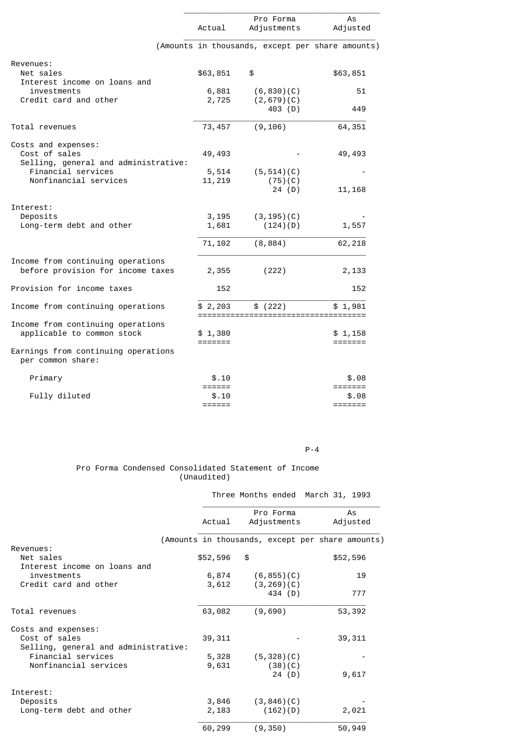|                                                                        | Actual             | Pro Forma<br>Adjustments                           | As<br>Adjusted                         |
|------------------------------------------------------------------------|--------------------|----------------------------------------------------|----------------------------------------|
|                                                                        |                    | (Amounts in thousands, except per share amounts)   |                                        |
| Revenues:<br>Net sales<br>Interest income on loans and                 | \$63,851           | \$                                                 | \$63,851                               |
| investments<br>Credit card and other                                   | 6,881<br>2,725     | (6, 830)(C)<br>(2,679)(C)<br>403 (D)               | 51<br>449                              |
| Total revenues                                                         | 73,457             | (9, 106)                                           | 64,351                                 |
| Costs and expenses:<br>Cost of sales                                   | 49,493             |                                                    | 49,493                                 |
| Selling, general and administrative:<br>Financial services             | 5,514              | (5, 514)(C)                                        |                                        |
| Nonfinancial services                                                  | 11,219             | (75)(C)<br>24 $(D)$                                | 11, 168                                |
| Interest:<br>Deposits<br>Long-term debt and other                      | 3,195<br>1,681     | (3, 195)(C)<br>(124)(D)                            | 1,557                                  |
|                                                                        | 71,102             | (8, 884)                                           | 62,218                                 |
| Income from continuing operations<br>before provision for income taxes | 2,355              | (222)                                              | 2,133                                  |
| Provision for income taxes                                             | 152                |                                                    | 152                                    |
| Income from continuing operations                                      | \$2,203            | \$ (222)<br>====================================== | \$1,981                                |
| Income from continuing operations<br>applicable to common stock        | \$1,380<br>======= |                                                    | \$1,158<br>$=$ $=$ $=$ $=$ $=$ $=$ $=$ |
| Earnings from continuing operations<br>per common share:               |                    |                                                    |                                        |
| Primary                                                                | \$.10<br>======    |                                                    | \$.08                                  |
| Fully diluted                                                          | \$.10<br>======    |                                                    | \$.08<br>=======                       |

### P-4

## Pro Forma Condensed Consolidated Statement of Income (Unaudited)

|                                      |          |                      |          | Three Months ended March 31, 1993                |
|--------------------------------------|----------|----------------------|----------|--------------------------------------------------|
|                                      |          | Pro Forma            |          | As                                               |
|                                      | Actual   | Adjustments          |          | Adjusted                                         |
|                                      |          |                      |          | (Amounts in thousands, except per share amounts) |
| Revenues:                            |          |                      |          |                                                  |
| Net sales                            | \$52,596 | \$                   |          | \$52,596                                         |
| Interest income on loans and         |          |                      |          |                                                  |
| investments                          |          | $6,874$ $(6,855)(C)$ |          | 19                                               |
| Credit card and other                | 3,612    | (3, 269)(C)          |          |                                                  |
|                                      |          |                      | 434 (D)  | 777                                              |
| Total revenues                       | 63,082   | (9,690)              |          | 53,392                                           |
| Costs and expenses:                  |          |                      |          |                                                  |
| Cost of sales                        | 39, 311  |                      |          | 39, 311                                          |
| Selling, general and administrative: |          |                      |          |                                                  |
| Financial services                   | 5,328    | (5, 328)(C)          |          |                                                  |
| Nonfinancial services                | 9,631    |                      | (38)(C)  |                                                  |
|                                      |          |                      | 24 (D)   | 9,617                                            |
| Interest:                            |          |                      |          |                                                  |
| Deposits                             | 3,846    | (3, 846)(C)          |          |                                                  |
| Long-term debt and other             | 2,183    |                      | (162)(D) | 2,021                                            |
|                                      | 60,299   | (9, 350)             |          | 50,949                                           |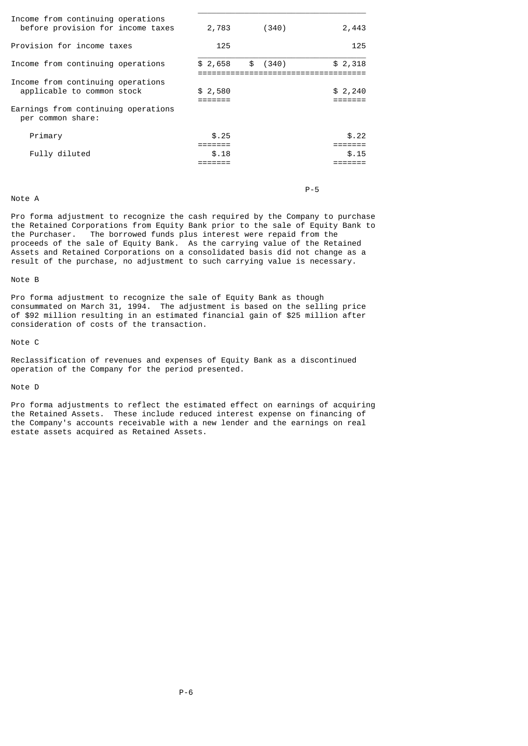| 2,783          | (340)    | 2,443          |
|----------------|----------|----------------|
| 125            |          | 125            |
| \$2,658        | \$ (340) | \$2,318        |
| \$2,580        |          | \$2,240        |
| \$.25<br>\$.18 |          | \$.22<br>\$.15 |
|                |          |                |

 $\_$ 

### Note A

P-5

Pro forma adjustment to recognize the cash required by the Company to purchase the Retained Corporations from Equity Bank prior to the sale of Equity Bank to the Purchaser. The borrowed funds plus interest were repaid from the The borrowed funds plus interest were repaid from the proceeds of the sale of Equity Bank. As the carrying value of the Retained Assets and Retained Corporations on a consolidated basis did not change as a result of the purchase, no adjustment to such carrying value is necessary.

### Note B

Pro forma adjustment to recognize the sale of Equity Bank as though consummated on March 31, 1994. The adjustment is based on the selling price of \$92 million resulting in an estimated financial gain of \$25 million after consideration of costs of the transaction.

#### Note C

Reclassification of revenues and expenses of Equity Bank as a discontinued operation of the Company for the period presented.

# Note D

Pro forma adjustments to reflect the estimated effect on earnings of acquiring the Retained Assets. These include reduced interest expense on financing of the Company's accounts receivable with a new lender and the earnings on real estate assets acquired as Retained Assets.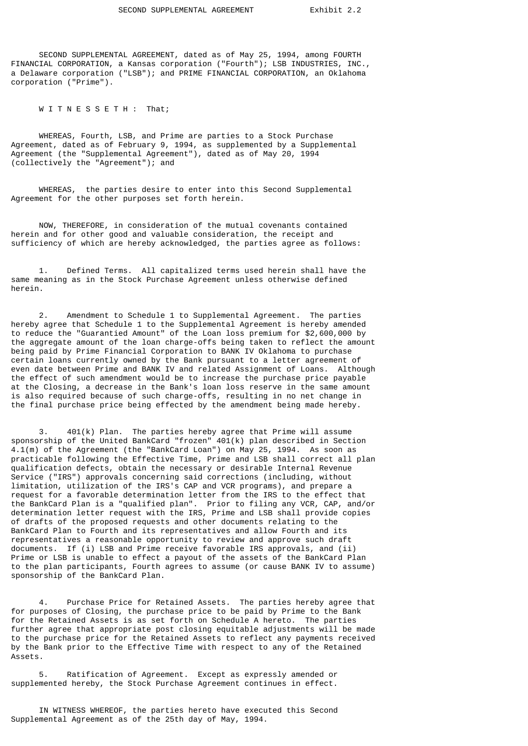SECOND SUPPLEMENTAL AGREEMENT, dated as of May 25, 1994, among FOURTH FINANCIAL CORPORATION, a Kansas corporation ("Fourth"); LSB INDUSTRIES, INC., a Delaware corporation ("LSB"); and PRIME FINANCIAL CORPORATION, an Oklahoma corporation ("Prime").

W I T N E S S E T H : That;

 WHEREAS, Fourth, LSB, and Prime are parties to a Stock Purchase Agreement, dated as of February 9, 1994, as supplemented by a Supplemental Agreement (the "Supplemental Agreement"), dated as of May 20, 1994 (collectively the "Agreement"); and

 WHEREAS, the parties desire to enter into this Second Supplemental Agreement for the other purposes set forth herein.

 NOW, THEREFORE, in consideration of the mutual covenants contained herein and for other good and valuable consideration, the receipt and sufficiency of which are hereby acknowledged, the parties agree as follows:

 1. Defined Terms. All capitalized terms used herein shall have the same meaning as in the Stock Purchase Agreement unless otherwise defined herein.

 2. Amendment to Schedule 1 to Supplemental Agreement. The parties hereby agree that Schedule 1 to the Supplemental Agreement is hereby amended to reduce the "Guarantied Amount" of the Loan loss premium for \$2,600,000 by the aggregate amount of the loan charge-offs being taken to reflect the amount being paid by Prime Financial Corporation to BANK IV Oklahoma to purchase certain loans currently owned by the Bank pursuant to a letter agreement of even date between Prime and BANK IV and related Assignment of Loans. Although the effect of such amendment would be to increase the purchase price payable at the Closing, a decrease in the Bank's loan loss reserve in the same amount is also required because of such charge-offs, resulting in no net change in the final purchase price being effected by the amendment being made hereby.

 3. 401(k) Plan. The parties hereby agree that Prime will assume sponsorship of the United BankCard "frozen" 401(k) plan described in Section 4.1(m) of the Agreement (the "BankCard Loan") on May 25, 1994. As soon as practicable following the Effective Time, Prime and LSB shall correct all plan qualification defects, obtain the necessary or desirable Internal Revenue Service ("IRS") approvals concerning said corrections (including, without limitation, utilization of the IRS's CAP and VCR programs), and prepare a request for a favorable determination letter from the IRS to the effect that the BankCard Plan is a "qualified plan". Prior to filing any VCR, CAP, and/or determination letter request with the IRS, Prime and LSB shall provide copies of drafts of the proposed requests and other documents relating to the BankCard Plan to Fourth and its representatives and allow Fourth and its representatives a reasonable opportunity to review and approve such draft documents. If (i) LSB and Prime receive favorable IRS approvals, and (ii) Prime or LSB is unable to effect a payout of the assets of the BankCard Plan to the plan participants, Fourth agrees to assume (or cause BANK IV to assume) sponsorship of the BankCard Plan.

 4. Purchase Price for Retained Assets. The parties hereby agree that for purposes of Closing, the purchase price to be paid by Prime to the Bank for the Retained Assets is as set forth on Schedule A hereto. The parties further agree that appropriate post closing equitable adjustments will be made to the purchase price for the Retained Assets to reflect any payments received by the Bank prior to the Effective Time with respect to any of the Retained Assets.

Ratification of Agreement. Except as expressly amended or supplemented hereby, the Stock Purchase Agreement continues in effect.

 IN WITNESS WHEREOF, the parties hereto have executed this Second Supplemental Agreement as of the 25th day of May, 1994.